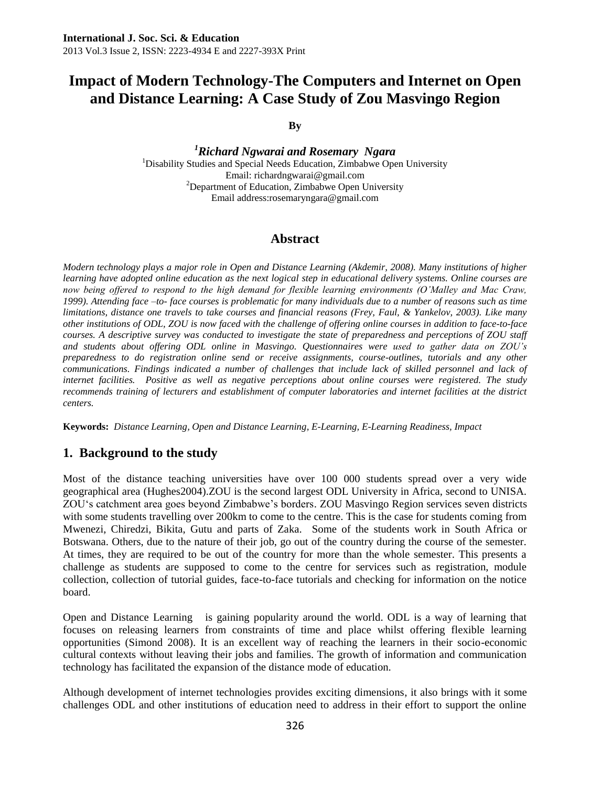# **Impact of Modern Technology-The Computers and Internet on Open and Distance Learning: A Case Study of Zou Masvingo Region**

**By**

*<sup>1</sup>Richard Ngwarai and Rosemary Ngara* <sup>1</sup>Disability Studies and Special Needs Education, Zimbabwe Open University Email: richardngwarai@gmail.com <sup>2</sup>Department of Education, Zimbabwe Open University Email address:rosemaryngara@gmail.com

## **Abstract**

*Modern technology plays a major role in Open and Distance Learning (Akdemir, 2008). Many institutions of higher learning have adopted online education as the next logical step in educational delivery systems. Online courses are now being offered to respond to the high demand for flexible learning environments (O'Malley and Mac Craw, 1999). Attending face –to- face courses is problematic for many individuals due to a number of reasons such as time limitations, distance one travels to take courses and financial reasons (Frey, Faul, & Yankelov, 2003). Like many other institutions of ODL, ZOU is now faced with the challenge of offering online courses in addition to face-to-face courses. A descriptive survey was conducted to investigate the state of preparedness and perceptions of ZOU staff and students about offering ODL online in Masvingo. Questionnaires were used to gather data on ZOU's preparedness to do registration online send or receive assignments, course-outlines, tutorials and any other communications. Findings indicated a number of challenges that include lack of skilled personnel and lack of internet facilities. Positive as well as negative perceptions about online courses were registered. The study*  recommends training of lecturers and establishment of computer laboratories and internet facilities at the district *centers.*

**Keywords:** *Distance Learning, Open and Distance Learning, E-Learning, E-Learning Readiness, Impact*

## **1. Background to the study**

Most of the distance teaching universities have over 100 000 students spread over a very wide geographical area (Hughes2004).ZOU is the second largest ODL University in Africa, second to UNISA. ZOU"s catchment area goes beyond Zimbabwe"s borders. ZOU Masvingo Region services seven districts with some students travelling over 200km to come to the centre. This is the case for students coming from Mwenezi, Chiredzi, Bikita, Gutu and parts of Zaka. Some of the students work in South Africa or Botswana. Others, due to the nature of their job, go out of the country during the course of the semester. At times, they are required to be out of the country for more than the whole semester. This presents a challenge as students are supposed to come to the centre for services such as registration, module collection, collection of tutorial guides, face-to-face tutorials and checking for information on the notice board.

Open and Distance Learning is gaining popularity around the world. ODL is a way of learning that focuses on releasing learners from constraints of time and place whilst offering flexible learning opportunities (Simond 2008). It is an excellent way of reaching the learners in their socio-economic cultural contexts without leaving their jobs and families. The growth of information and communication technology has facilitated the expansion of the distance mode of education.

Although development of internet technologies provides exciting dimensions, it also brings with it some challenges ODL and other institutions of education need to address in their effort to support the online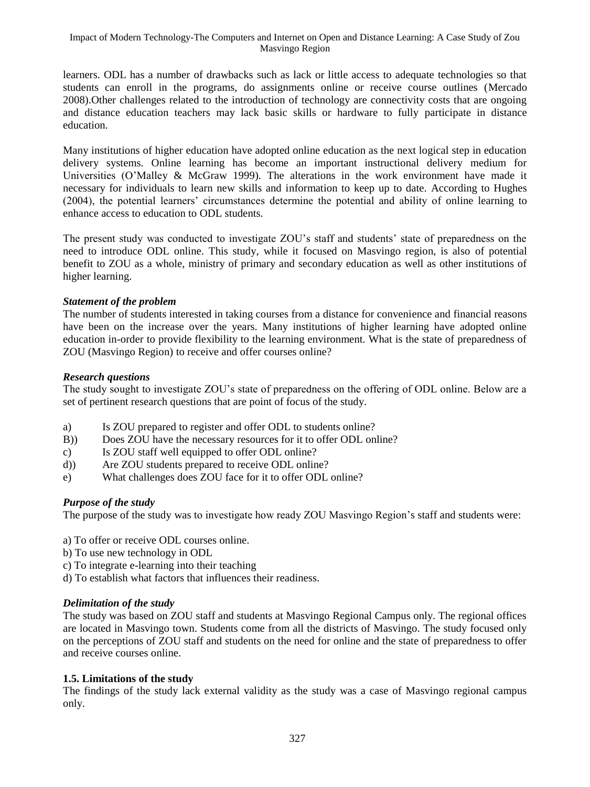learners. ODL has a number of drawbacks such as lack or little access to adequate technologies so that students can enroll in the programs, do assignments online or receive course outlines (Mercado 2008).Other challenges related to the introduction of technology are connectivity costs that are ongoing and distance education teachers may lack basic skills or hardware to fully participate in distance education.

Many institutions of higher education have adopted online education as the next logical step in education delivery systems. Online learning has become an important instructional delivery medium for Universities (O"Malley & McGraw 1999). The alterations in the work environment have made it necessary for individuals to learn new skills and information to keep up to date. According to Hughes (2004), the potential learners" circumstances determine the potential and ability of online learning to enhance access to education to ODL students.

The present study was conducted to investigate ZOU"s staff and students" state of preparedness on the need to introduce ODL online. This study, while it focused on Masvingo region, is also of potential benefit to ZOU as a whole, ministry of primary and secondary education as well as other institutions of higher learning.

## *Statement of the problem*

The number of students interested in taking courses from a distance for convenience and financial reasons have been on the increase over the years. Many institutions of higher learning have adopted online education in-order to provide flexibility to the learning environment. What is the state of preparedness of ZOU (Masvingo Region) to receive and offer courses online?

### *Research questions*

The study sought to investigate ZOU"s state of preparedness on the offering of ODL online. Below are a set of pertinent research questions that are point of focus of the study.

- a) Is ZOU prepared to register and offer ODL to students online?
- B)) Does ZOU have the necessary resources for it to offer ODL online?
- c) Is ZOU staff well equipped to offer ODL online?
- d)) Are ZOU students prepared to receive ODL online?
- e) What challenges does ZOU face for it to offer ODL online?

## *Purpose of the study*

The purpose of the study was to investigate how ready ZOU Masvingo Region"s staff and students were:

- a) To offer or receive ODL courses online.
- b) To use new technology in ODL
- c) To integrate e-learning into their teaching
- d) To establish what factors that influences their readiness.

## *Delimitation of the study*

The study was based on ZOU staff and students at Masvingo Regional Campus only. The regional offices are located in Masvingo town. Students come from all the districts of Masvingo. The study focused only on the perceptions of ZOU staff and students on the need for online and the state of preparedness to offer and receive courses online.

### **1.5. Limitations of the study**

The findings of the study lack external validity as the study was a case of Masvingo regional campus only.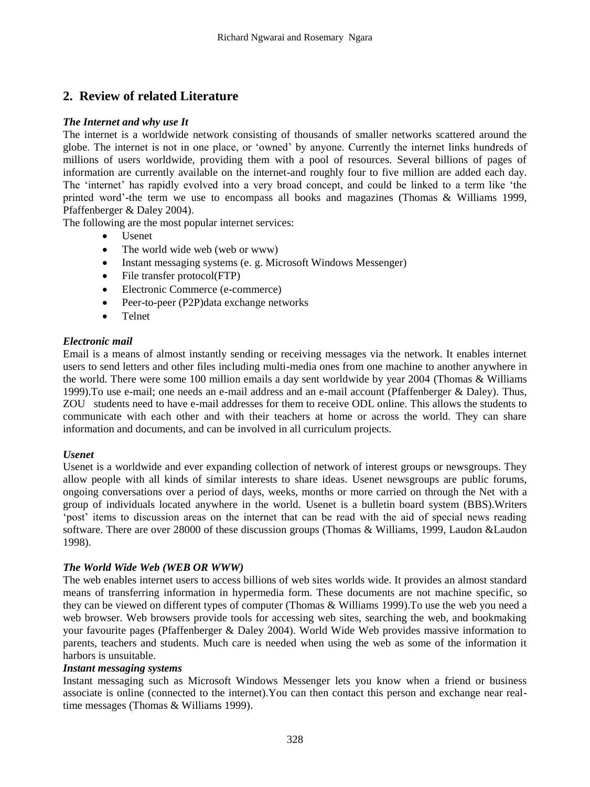# **2. Review of related Literature**

## *The Internet and why use It*

The internet is a worldwide network consisting of thousands of smaller networks scattered around the globe. The internet is not in one place, or "owned" by anyone. Currently the internet links hundreds of millions of users worldwide, providing them with a pool of resources. Several billions of pages of information are currently available on the internet-and roughly four to five million are added each day. The 'internet' has rapidly evolved into a very broad concept, and could be linked to a term like 'the printed word"-the term we use to encompass all books and magazines (Thomas & Williams 1999, Pfaffenberger & Daley 2004).

The following are the most popular internet services:

- Usenet
- The world wide web (web or www)
- Instant messaging systems (e. g. Microsoft Windows Messenger)
- File transfer protocol(FTP)
- Electronic Commerce (e-commerce)
- Peer-to-peer (P2P)data exchange networks
- Telnet

## *Electronic mail*

Email is a means of almost instantly sending or receiving messages via the network. It enables internet users to send letters and other files including multi-media ones from one machine to another anywhere in the world. There were some 100 million emails a day sent worldwide by year 2004 (Thomas & Williams 1999).To use e-mail; one needs an e-mail address and an e-mail account (Pfaffenberger & Daley). Thus, ZOU students need to have e-mail addresses for them to receive ODL online. This allows the students to communicate with each other and with their teachers at home or across the world. They can share information and documents, and can be involved in all curriculum projects.

### *Usenet*

Usenet is a worldwide and ever expanding collection of network of interest groups or newsgroups. They allow people with all kinds of similar interests to share ideas. Usenet newsgroups are public forums, ongoing conversations over a period of days, weeks, months or more carried on through the Net with a group of individuals located anywhere in the world. Usenet is a bulletin board system (BBS).Writers "post" items to discussion areas on the internet that can be read with the aid of special news reading software. There are over 28000 of these discussion groups (Thomas & Williams, 1999, Laudon &Laudon 1998).

### *The World Wide Web (WEB OR WWW)*

The web enables internet users to access billions of web sites worlds wide. It provides an almost standard means of transferring information in hypermedia form. These documents are not machine specific, so they can be viewed on different types of computer (Thomas & Williams 1999).To use the web you need a web browser. Web browsers provide tools for accessing web sites, searching the web, and bookmaking your favourite pages (Pfaffenberger & Daley 2004). World Wide Web provides massive information to parents, teachers and students. Much care is needed when using the web as some of the information it harbors is unsuitable.

### *Instant messaging systems*

Instant messaging such as Microsoft Windows Messenger lets you know when a friend or business associate is online (connected to the internet).You can then contact this person and exchange near realtime messages (Thomas & Williams 1999).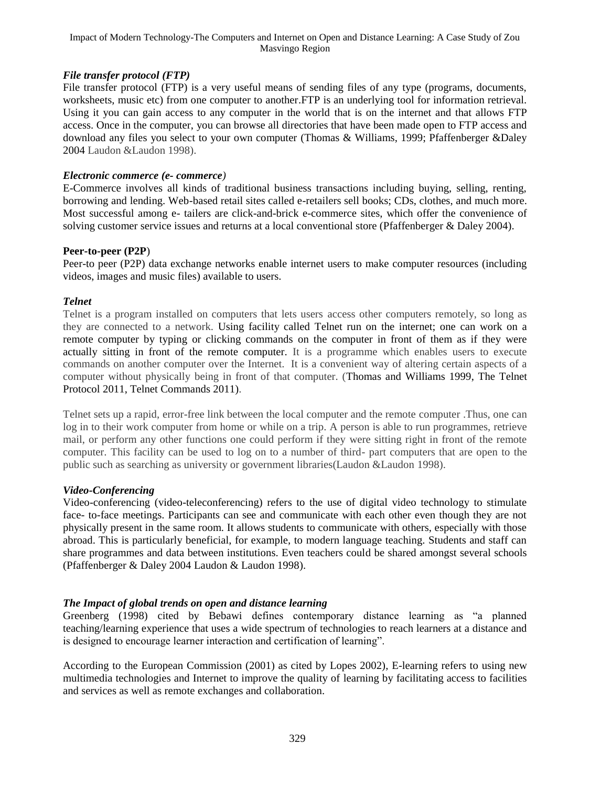## *File transfer protocol (FTP)*

File transfer protocol (FTP) is a very useful means of sending files of any type (programs, documents, worksheets, music etc) from one computer to another. FTP is an underlying tool for information retrieval. Using it you can gain access to any computer in the world that is on the internet and that allows FTP access. Once in the computer, you can browse all directories that have been made open to FTP access and download any files you select to your own computer (Thomas & Williams, 1999; Pfaffenberger &Daley 2004 Laudon &Laudon 1998).

#### *Electronic commerce (e- commerce)*

E-Commerce involves all kinds of traditional business transactions including buying, selling, renting, borrowing and lending. Web-based retail sites called e-retailers sell books; CDs, clothes, and much more. Most successful among e- tailers are click-and-brick e-commerce sites, which offer the convenience of solving customer service issues and returns at a local conventional store (Pfaffenberger & Daley 2004).

#### **Peer-to-peer (P2P**)

Peer-to peer (P2P) data exchange networks enable internet users to make computer resources (including videos, images and music files) available to users.

#### *Telnet*

Telnet is a program installed on computers that lets users access other computers remotely, so long as they are connected to a network. Using facility called Telnet run on the internet; one can work on a remote computer by typing or clicking commands on the computer in front of them as if they were actually sitting in front of the remote computer. It is a programme which enables users to execute commands on another computer over the Internet. It is a convenient way of altering certain aspects of a computer without physically being in front of that computer. (Thomas and Williams 1999, The Telnet Protocol 2011, Telnet Commands 2011).

Telnet sets up a rapid, error-free link between the local computer and the remote computer .Thus, one can log in to their work computer from home or while on a trip. A person is able to run programmes, retrieve mail, or perform any other functions one could perform if they were sitting right in front of the remote computer. This facility can be used to log on to a number of third- part computers that are open to the public such as searching as university or government libraries(Laudon &Laudon 1998).

### *Video-Conferencing*

Video-conferencing (video-teleconferencing) refers to the use of digital video technology to stimulate face- to-face meetings. Participants can see and communicate with each other even though they are not physically present in the same room. It allows students to communicate with others, especially with those abroad. This is particularly beneficial, for example, to modern language teaching. Students and staff can share programmes and data between institutions. Even teachers could be shared amongst several schools (Pfaffenberger & Daley 2004 Laudon & Laudon 1998).

### *The Impact of global trends on open and distance learning*

Greenberg (1998) cited by Bebawi defines contemporary distance learning as "a planned teaching/learning experience that uses a wide spectrum of technologies to reach learners at a distance and is designed to encourage learner interaction and certification of learning".

According to the European Commission (2001) as cited by Lopes 2002), E-learning refers to using new multimedia technologies and Internet to improve the quality of learning by facilitating access to facilities and services as well as remote exchanges and collaboration.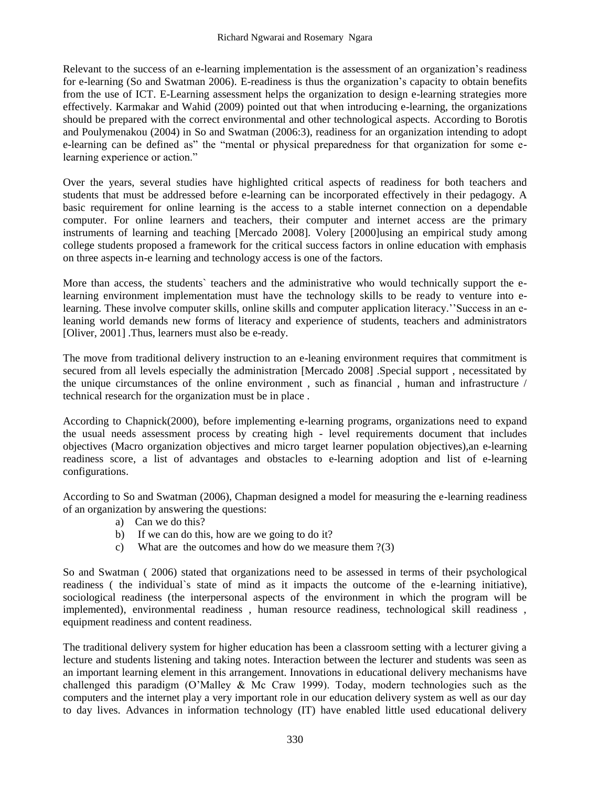Relevant to the success of an e-learning implementation is the assessment of an organization"s readiness for e-learning (So and Swatman 2006). E-readiness is thus the organization"s capacity to obtain benefits from the use of ICT. E-Learning assessment helps the organization to design e-learning strategies more effectively. Karmakar and Wahid (2009) pointed out that when introducing e-learning, the organizations should be prepared with the correct environmental and other technological aspects. According to Borotis and Poulymenakou (2004) in So and Swatman (2006:3), readiness for an organization intending to adopt e-learning can be defined as" the "mental or physical preparedness for that organization for some elearning experience or action."

Over the years, several studies have highlighted critical aspects of readiness for both teachers and students that must be addressed before e-learning can be incorporated effectively in their pedagogy. A basic requirement for online learning is the access to a stable internet connection on a dependable computer. For online learners and teachers, their computer and internet access are the primary instruments of learning and teaching [Mercado 2008]. Volery [2000]using an empirical study among college students proposed a framework for the critical success factors in online education with emphasis on three aspects in-e learning and technology access is one of the factors.

More than access, the students` teachers and the administrative who would technically support the elearning environment implementation must have the technology skills to be ready to venture into elearning. These involve computer skills, online skills and computer application literacy.""Success in an eleaning world demands new forms of literacy and experience of students, teachers and administrators [Oliver, 2001] .Thus, learners must also be e-ready.

The move from traditional delivery instruction to an e-leaning environment requires that commitment is secured from all levels especially the administration [Mercado 2008] .Special support , necessitated by the unique circumstances of the online environment , such as financial , human and infrastructure / technical research for the organization must be in place .

According to Chapnick(2000), before implementing e-learning programs, organizations need to expand the usual needs assessment process by creating high - level requirements document that includes objectives (Macro organization objectives and micro target learner population objectives),an e-learning readiness score, a list of advantages and obstacles to e-learning adoption and list of e-learning configurations.

According to So and Swatman (2006), Chapman designed a model for measuring the e-learning readiness of an organization by answering the questions:

- a) Can we do this?
- b) If we can do this, how are we going to do it?
- c) What are the outcomes and how do we measure them ?(3)

So and Swatman ( 2006) stated that organizations need to be assessed in terms of their psychological readiness ( the individual`s state of mind as it impacts the outcome of the e-learning initiative), sociological readiness (the interpersonal aspects of the environment in which the program will be implemented), environmental readiness , human resource readiness, technological skill readiness , equipment readiness and content readiness.

The traditional delivery system for higher education has been a classroom setting with a lecturer giving a lecture and students listening and taking notes. Interaction between the lecturer and students was seen as an important learning element in this arrangement. Innovations in educational delivery mechanisms have challenged this paradigm (O"Malley & Mc Craw 1999). Today, modern technologies such as the computers and the internet play a very important role in our education delivery system as well as our day to day lives. Advances in information technology (IT) have enabled little used educational delivery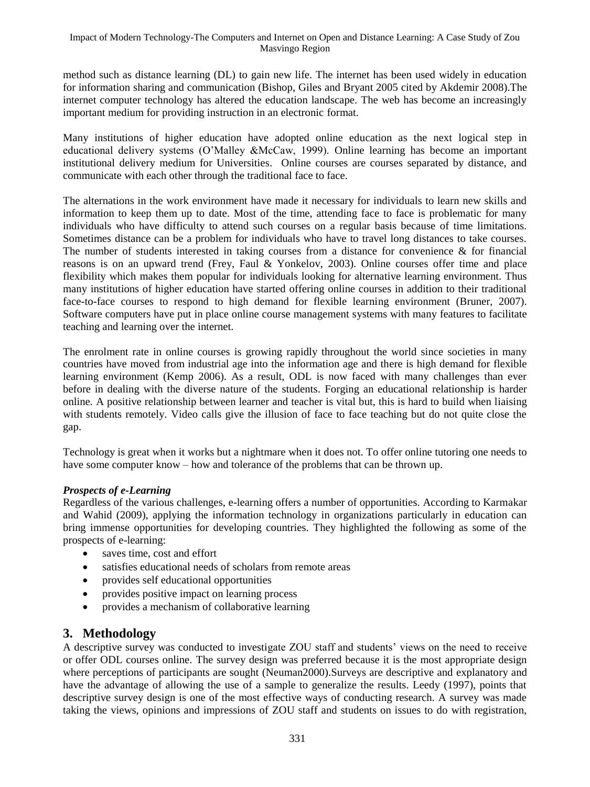method such as distance learning (DL) to gain new life. The internet has been used widely in education for information sharing and communication (Bishop, Giles and Bryant 2005 cited by Akdemir 2008).The internet computer technology has altered the education landscape. The web has become an increasingly important medium for providing instruction in an electronic format.

Many institutions of higher education have adopted online education as the next logical step in educational delivery systems (O"Malley &McCaw, 1999). Online learning has become an important institutional delivery medium for Universities. Online courses are courses separated by distance, and communicate with each other through the traditional face to face.

The alternations in the work environment have made it necessary for individuals to learn new skills and information to keep them up to date. Most of the time, attending face to face is problematic for many individuals who have difficulty to attend such courses on a regular basis because of time limitations. Sometimes distance can be a problem for individuals who have to travel long distances to take courses. The number of students interested in taking courses from a distance for convenience  $\&$  for financial reasons is on an upward trend (Frey, Faul & Yonkelov, 2003). Online courses offer time and place flexibility which makes them popular for individuals looking for alternative learning environment. Thus many institutions of higher education have started offering online courses in addition to their traditional face-to-face courses to respond to high demand for flexible learning environment (Bruner, 2007). Software computers have put in place online course management systems with many features to facilitate teaching and learning over the internet.

The enrolment rate in online courses is growing rapidly throughout the world since societies in many countries have moved from industrial age into the information age and there is high demand for flexible learning environment (Kemp 2006). As a result, ODL is now faced with many challenges than ever before in dealing with the diverse nature of the students. Forging an educational relationship is harder online. A positive relationship between learner and teacher is vital but, this is hard to build when liaising with students remotely. Video calls give the illusion of face to face teaching but do not quite close the gap.

Technology is great when it works but a nightmare when it does not. To offer online tutoring one needs to have some computer know – how and tolerance of the problems that can be thrown up.

## *Prospects of e-Learning*

Regardless of the various challenges, e-learning offers a number of opportunities. According to Karmakar and Wahid (2009), applying the information technology in organizations particularly in education can bring immense opportunities for developing countries. They highlighted the following as some of the prospects of e-learning:

- saves time, cost and effort
- satisfies educational needs of scholars from remote areas
- provides self educational opportunities
- provides positive impact on learning process
- provides a mechanism of collaborative learning

## **3. Methodology**

A descriptive survey was conducted to investigate ZOU staff and students" views on the need to receive or offer ODL courses online. The survey design was preferred because it is the most appropriate design where perceptions of participants are sought (Neuman2000).Surveys are descriptive and explanatory and have the advantage of allowing the use of a sample to generalize the results. Leedy (1997), points that descriptive survey design is one of the most effective ways of conducting research. A survey was made taking the views, opinions and impressions of ZOU staff and students on issues to do with registration,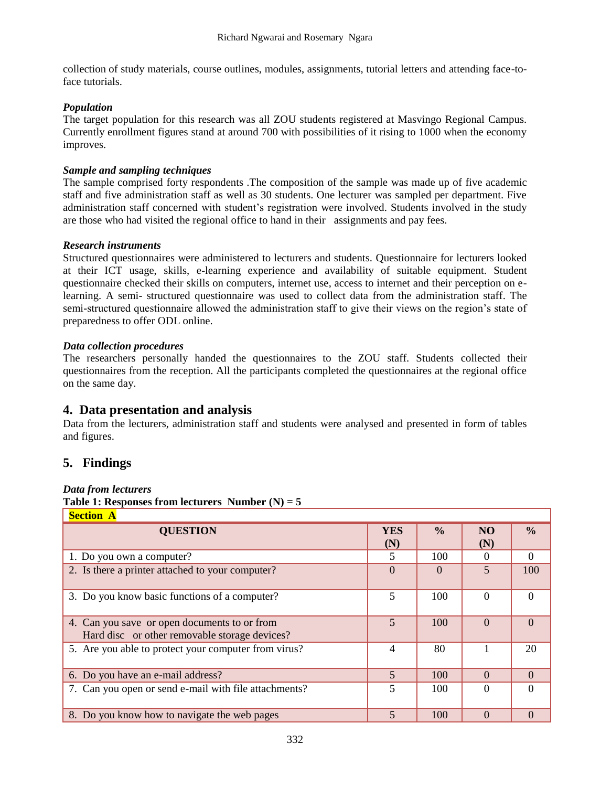collection of study materials, course outlines, modules, assignments, tutorial letters and attending face-toface tutorials.

## *Population*

The target population for this research was all ZOU students registered at Masvingo Regional Campus. Currently enrollment figures stand at around 700 with possibilities of it rising to 1000 when the economy improves.

### *Sample and sampling techniques*

The sample comprised forty respondents .The composition of the sample was made up of five academic staff and five administration staff as well as 30 students. One lecturer was sampled per department. Five administration staff concerned with student"s registration were involved. Students involved in the study are those who had visited the regional office to hand in their assignments and pay fees.

### *Research instruments*

Structured questionnaires were administered to lecturers and students. Questionnaire for lecturers looked at their ICT usage, skills, e-learning experience and availability of suitable equipment. Student questionnaire checked their skills on computers, internet use, access to internet and their perception on elearning. A semi- structured questionnaire was used to collect data from the administration staff. The semi-structured questionnaire allowed the administration staff to give their views on the region"s state of preparedness to offer ODL online.

## *Data collection procedures*

The researchers personally handed the questionnaires to the ZOU staff. Students collected their questionnaires from the reception. All the participants completed the questionnaires at the regional office on the same day.

## **4. Data presentation and analysis**

Data from the lecturers, administration staff and students were analysed and presented in form of tables and figures.

## **5. Findings**

### *Data from lecturers*

**Table 1: Responses from lecturers Number (N) = 5**

| <b>Section A</b>                                                                              |                   |               |                       |               |
|-----------------------------------------------------------------------------------------------|-------------------|---------------|-----------------------|---------------|
| <b>QUESTION</b>                                                                               | <b>YES</b><br>(N) | $\frac{0}{0}$ | N <sub>O</sub><br>(N) | $\frac{0}{0}$ |
| 1. Do you own a computer?                                                                     | 5                 | 100           |                       | $\Omega$      |
| 2. Is there a printer attached to your computer?                                              | $\Omega$          | $\Omega$      | $\overline{5}$        | 100           |
| 3. Do you know basic functions of a computer?                                                 | 5                 | 100           | $\Omega$              | $\Omega$      |
| 4. Can you save or open documents to or from<br>Hard disc or other removable storage devices? | 5                 | 100           | $\Omega$              | $\Omega$      |
| 5. Are you able to protect your computer from virus?                                          | $\overline{4}$    | 80            |                       | 20            |
| 6. Do you have an e-mail address?                                                             | $\overline{5}$    | 100           | $\Omega$              | $\Omega$      |
| 7. Can you open or send e-mail with file attachments?                                         | 5                 | 100           |                       |               |
| 8. Do you know how to navigate the web pages                                                  | 5                 | 100           | $\Omega$              | $\Omega$      |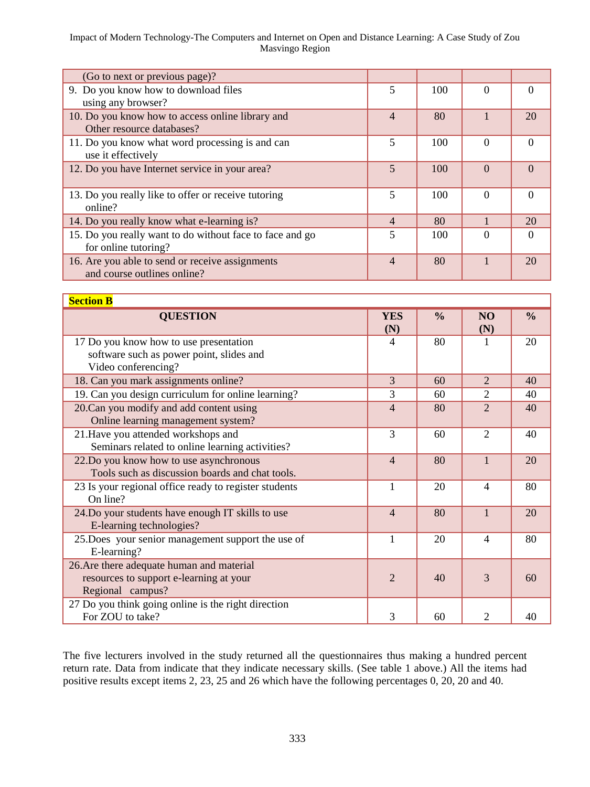#### Impact of Modern Technology-The Computers and Internet on Open and Distance Learning: A Case Study of Zou Masvingo Region

| (Go to next or previous page)?                           |                |     |          |          |
|----------------------------------------------------------|----------------|-----|----------|----------|
| 9. Do you know how to download files                     | 5              | 100 | 0        | $\Omega$ |
| using any browser?                                       |                |     |          |          |
| 10. Do you know how to access online library and         | $\overline{4}$ | 80  |          | 20       |
| Other resource databases?                                |                |     |          |          |
| 11. Do you know what word processing is and can          | 5              | 100 | $\Omega$ | $\Omega$ |
| use it effectively                                       |                |     |          |          |
| 12. Do you have Internet service in your area?           | $\overline{5}$ | 100 | $\Omega$ | $\Omega$ |
|                                                          |                |     |          |          |
| 13. Do you really like to offer or receive tutoring      | 5              | 100 | $\Omega$ | $\Omega$ |
| online?                                                  |                |     |          |          |
| 14. Do you really know what e-learning is?               | $\overline{4}$ | 80  |          | 20       |
| 15. Do you really want to do without face to face and go | 5              | 100 |          | $\Omega$ |
| for online tutoring?                                     |                |     |          |          |
| 16. Are you able to send or receive assignments          | $\overline{4}$ | 80  |          | 20       |
| and course outlines online?                              |                |     |          |          |

| <b>Section B</b> |  |
|------------------|--|
|------------------|--|

| <b>Secuon B</b>                                                                                           |                   |               |                             |               |
|-----------------------------------------------------------------------------------------------------------|-------------------|---------------|-----------------------------|---------------|
| <b>QUESTION</b>                                                                                           | <b>YES</b><br>(N) | $\frac{0}{0}$ | <b>NO</b><br>(N)            | $\frac{0}{0}$ |
| 17 Do you know how to use presentation<br>software such as power point, slides and<br>Video conferencing? | 4                 | 80            |                             | 20            |
| 18. Can you mark assignments online?                                                                      | 3                 | 60            | $\mathcal{L}$               | 40            |
| 19. Can you design curriculum for online learning?                                                        | 3                 | 60            | $\mathcal{D}_{\mathcal{L}}$ | 40            |
| 20. Can you modify and add content using<br>Online learning management system?                            | 4                 | 80            | $\mathfrak{D}$              | 40            |
| 21. Have you attended workshops and<br>Seminars related to online learning activities?                    | 3                 | 60            | $\overline{2}$              | 40            |
| 22.Do you know how to use asynchronous<br>Tools such as discussion boards and chat tools.                 | $\overline{4}$    | 80            | $\mathbf{1}$                | 20            |
| 23 Is your regional office ready to register students<br>On line?                                         | 1                 | 20            | $\overline{\mathcal{A}}$    | 80            |
| 24. Do your students have enough IT skills to use<br>E-learning technologies?                             | $\overline{4}$    | 80            | $\mathbf{1}$                | 20            |
| 25. Does your senior management support the use of<br>E-learning?                                         | 1                 | 20            | $\overline{\mathcal{A}}$    | 80            |
| 26. Are there adequate human and material<br>resources to support e-learning at your<br>Regional campus?  | $\overline{2}$    | 40            | 3                           | 60            |
| 27 Do you think going online is the right direction<br>For ZOU to take?                                   | 3                 | 60            | $\mathcal{D}_{\mathcal{L}}$ | 40            |

The five lecturers involved in the study returned all the questionnaires thus making a hundred percent return rate. Data from indicate that they indicate necessary skills. (See table 1 above.) All the items had positive results except items 2, 23, 25 and 26 which have the following percentages 0, 20, 20 and 40.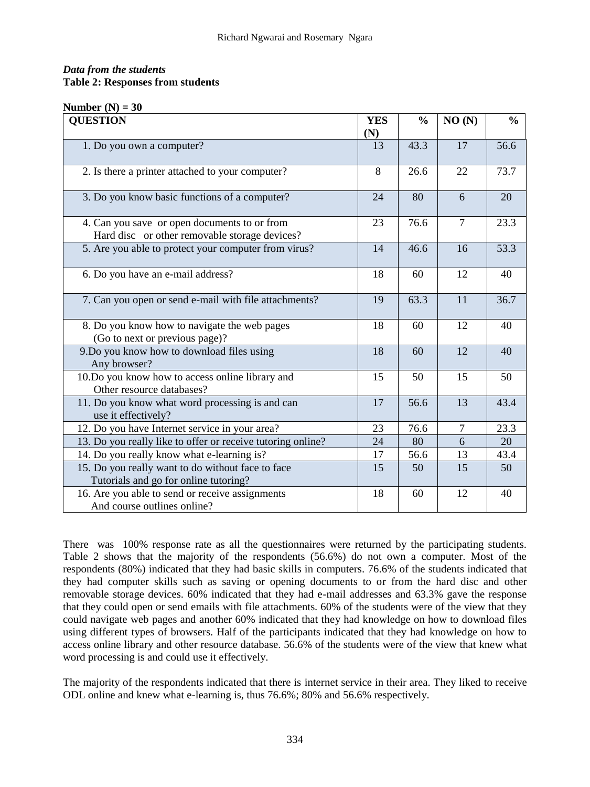## *Data from the students* **Table 2: Responses from students**

#### **Number (N) = 30**

| <b>QUESTION</b>                                                                               | <b>YES</b> | $\frac{0}{0}$ | NO(N)          | $\frac{0}{0}$ |
|-----------------------------------------------------------------------------------------------|------------|---------------|----------------|---------------|
|                                                                                               | (N)        |               |                |               |
| 1. Do you own a computer?                                                                     | 13         | 43.3          | 17             | 56.6          |
| 2. Is there a printer attached to your computer?                                              | 8          | 26.6          | 22             | 73.7          |
| 3. Do you know basic functions of a computer?                                                 | 24         | 80            | 6              | 20            |
| 4. Can you save or open documents to or from<br>Hard disc or other removable storage devices? | 23         | 76.6          | $\overline{7}$ | 23.3          |
| 5. Are you able to protect your computer from virus?                                          | 14         | 46.6          | 16             | 53.3          |
| 6. Do you have an e-mail address?                                                             | 18         | 60            | 12             | 40            |
| 7. Can you open or send e-mail with file attachments?                                         | 19         | 63.3          | 11             | 36.7          |
| 8. Do you know how to navigate the web pages<br>(Go to next or previous page)?                | 18         | 60            | 12             | 40            |
| 9.Do you know how to download files using<br>Any browser?                                     | 18         | 60            | 12             | 40            |
| 10.Do you know how to access online library and<br>Other resource databases?                  | 15         | 50            | 15             | 50            |
| 11. Do you know what word processing is and can<br>use it effectively?                        | 17         | 56.6          | 13             | 43.4          |
| 12. Do you have Internet service in your area?                                                | 23         | 76.6          | 7              | 23.3          |
| 13. Do you really like to offer or receive tutoring online?                                   | 24         | 80            | 6              | 20            |
| 14. Do you really know what e-learning is?                                                    | 17         | 56.6          | 13             | 43.4          |
| 15. Do you really want to do without face to face<br>Tutorials and go for online tutoring?    | 15         | 50            | 15             | 50            |
| 16. Are you able to send or receive assignments<br>And course outlines online?                | 18         | 60            | 12             | 40            |

There was 100% response rate as all the questionnaires were returned by the participating students. Table 2 shows that the majority of the respondents (56.6%) do not own a computer. Most of the respondents (80%) indicated that they had basic skills in computers. 76.6% of the students indicated that they had computer skills such as saving or opening documents to or from the hard disc and other removable storage devices. 60% indicated that they had e-mail addresses and 63.3% gave the response that they could open or send emails with file attachments. 60% of the students were of the view that they could navigate web pages and another 60% indicated that they had knowledge on how to download files using different types of browsers. Half of the participants indicated that they had knowledge on how to access online library and other resource database. 56.6% of the students were of the view that knew what word processing is and could use it effectively.

The majority of the respondents indicated that there is internet service in their area. They liked to receive ODL online and knew what e-learning is, thus 76.6%; 80% and 56.6% respectively.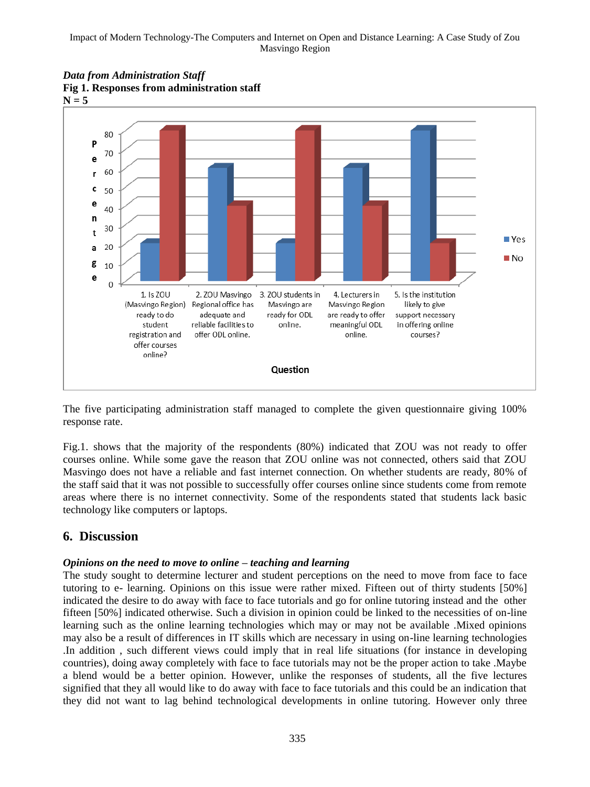

#### *Data from Administration Staff* **Fig 1. Responses from administration staff**

The five participating administration staff managed to complete the given questionnaire giving 100% response rate.

Fig.1. shows that the majority of the respondents (80%) indicated that ZOU was not ready to offer courses online. While some gave the reason that ZOU online was not connected, others said that ZOU Masvingo does not have a reliable and fast internet connection. On whether students are ready, 80% of the staff said that it was not possible to successfully offer courses online since students come from remote areas where there is no internet connectivity. Some of the respondents stated that students lack basic technology like computers or laptops.

## **6. Discussion**

## *Opinions on the need to move to online – teaching and learning*

The study sought to determine lecturer and student perceptions on the need to move from face to face tutoring to e- learning. Opinions on this issue were rather mixed. Fifteen out of thirty students [50%] indicated the desire to do away with face to face tutorials and go for online tutoring instead and the other fifteen [50%] indicated otherwise. Such a division in opinion could be linked to the necessities of on-line learning such as the online learning technologies which may or may not be available .Mixed opinions may also be a result of differences in IT skills which are necessary in using on-line learning technologies .In addition , such different views could imply that in real life situations (for instance in developing countries), doing away completely with face to face tutorials may not be the proper action to take .Maybe a blend would be a better opinion. However, unlike the responses of students, all the five lectures signified that they all would like to do away with face to face tutorials and this could be an indication that they did not want to lag behind technological developments in online tutoring. However only three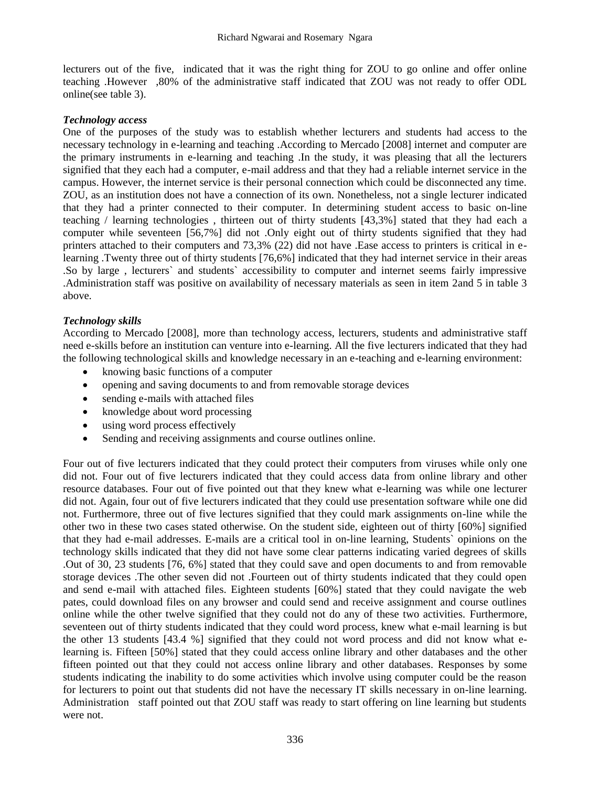lecturers out of the five, indicated that it was the right thing for ZOU to go online and offer online teaching .However ,80% of the administrative staff indicated that ZOU was not ready to offer ODL online(see table 3).

#### *Technology access*

One of the purposes of the study was to establish whether lecturers and students had access to the necessary technology in e-learning and teaching .According to Mercado [2008] internet and computer are the primary instruments in e-learning and teaching .In the study, it was pleasing that all the lecturers signified that they each had a computer, e-mail address and that they had a reliable internet service in the campus. However, the internet service is their personal connection which could be disconnected any time. ZOU, as an institution does not have a connection of its own. Nonetheless, not a single lecturer indicated that they had a printer connected to their computer. In determining student access to basic on-line teaching / learning technologies , thirteen out of thirty students [43,3%] stated that they had each a computer while seventeen [56,7%] did not .Only eight out of thirty students signified that they had printers attached to their computers and 73,3% (22) did not have .Ease access to printers is critical in elearning .Twenty three out of thirty students [76,6%] indicated that they had internet service in their areas .So by large , lecturers` and students` accessibility to computer and internet seems fairly impressive .Administration staff was positive on availability of necessary materials as seen in item 2and 5 in table 3 above.

### *Technology skills*

According to Mercado [2008], more than technology access, lecturers, students and administrative staff need e-skills before an institution can venture into e-learning. All the five lecturers indicated that they had the following technological skills and knowledge necessary in an e-teaching and e-learning environment:

- knowing basic functions of a computer
- opening and saving documents to and from removable storage devices
- sending e-mails with attached files
- knowledge about word processing
- using word process effectively
- Sending and receiving assignments and course outlines online.

Four out of five lecturers indicated that they could protect their computers from viruses while only one did not. Four out of five lecturers indicated that they could access data from online library and other resource databases. Four out of five pointed out that they knew what e-learning was while one lecturer did not. Again, four out of five lecturers indicated that they could use presentation software while one did not. Furthermore, three out of five lectures signified that they could mark assignments on-line while the other two in these two cases stated otherwise. On the student side, eighteen out of thirty [60%] signified that they had e-mail addresses. E-mails are a critical tool in on-line learning, Students` opinions on the technology skills indicated that they did not have some clear patterns indicating varied degrees of skills .Out of 30, 23 students [76, 6%] stated that they could save and open documents to and from removable storage devices .The other seven did not .Fourteen out of thirty students indicated that they could open and send e-mail with attached files. Eighteen students [60%] stated that they could navigate the web pates, could download files on any browser and could send and receive assignment and course outlines online while the other twelve signified that they could not do any of these two activities. Furthermore, seventeen out of thirty students indicated that they could word process, knew what e-mail learning is but the other 13 students [43.4 %] signified that they could not word process and did not know what elearning is. Fifteen [50%] stated that they could access online library and other databases and the other fifteen pointed out that they could not access online library and other databases. Responses by some students indicating the inability to do some activities which involve using computer could be the reason for lecturers to point out that students did not have the necessary IT skills necessary in on-line learning. Administration staff pointed out that ZOU staff was ready to start offering on line learning but students were not.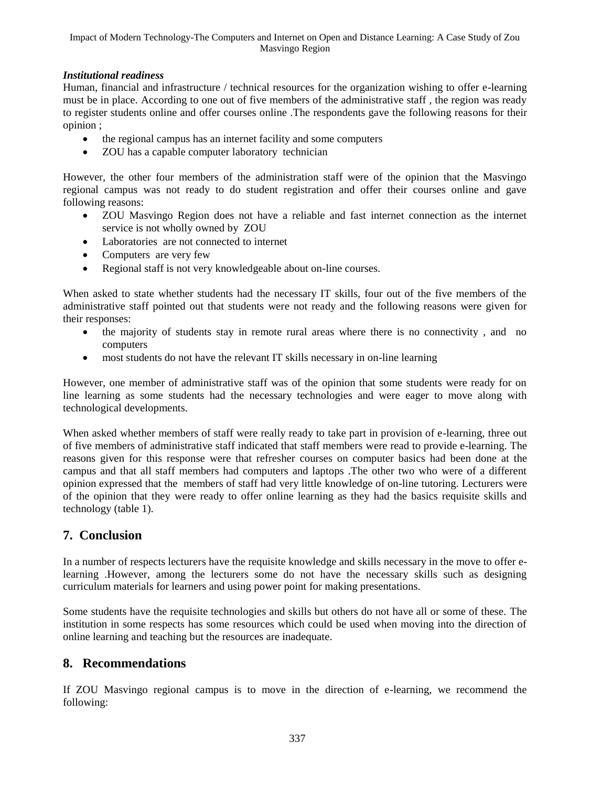## *Institutional readiness*

Human, financial and infrastructure / technical resources for the organization wishing to offer e-learning must be in place. According to one out of five members of the administrative staff , the region was ready to register students online and offer courses online .The respondents gave the following reasons for their opinion ;

- the regional campus has an internet facility and some computers
- ZOU has a capable computer laboratory technician

However, the other four members of the administration staff were of the opinion that the Masvingo regional campus was not ready to do student registration and offer their courses online and gave following reasons:

- ZOU Masvingo Region does not have a reliable and fast internet connection as the internet service is not wholly owned by ZOU
- Laboratories are not connected to internet
- Computers are very few
- Regional staff is not very knowledgeable about on-line courses.

When asked to state whether students had the necessary IT skills, four out of the five members of the administrative staff pointed out that students were not ready and the following reasons were given for their responses:

- the majority of students stay in remote rural areas where there is no connectivity, and no computers
- most students do not have the relevant IT skills necessary in on-line learning

However, one member of administrative staff was of the opinion that some students were ready for on line learning as some students had the necessary technologies and were eager to move along with technological developments.

When asked whether members of staff were really ready to take part in provision of e-learning, three out of five members of administrative staff indicated that staff members were read to provide e-learning. The reasons given for this response were that refresher courses on computer basics had been done at the campus and that all staff members had computers and laptops .The other two who were of a different opinion expressed that the members of staff had very little knowledge of on-line tutoring. Lecturers were of the opinion that they were ready to offer online learning as they had the basics requisite skills and technology (table 1).

# **7. Conclusion**

In a number of respects lecturers have the requisite knowledge and skills necessary in the move to offer elearning .However, among the lecturers some do not have the necessary skills such as designing curriculum materials for learners and using power point for making presentations.

Some students have the requisite technologies and skills but others do not have all or some of these. The institution in some respects has some resources which could be used when moving into the direction of online learning and teaching but the resources are inadequate.

## **8. Recommendations**

If ZOU Masvingo regional campus is to move in the direction of e-learning, we recommend the following: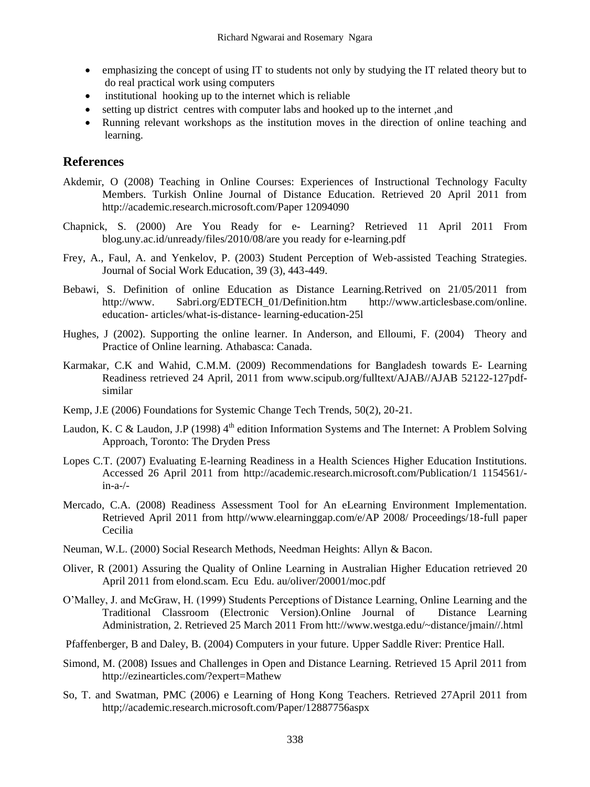- emphasizing the concept of using IT to students not only by studying the IT related theory but to do real practical work using computers
- institutional hooking up to the internet which is reliable
- setting up district centres with computer labs and hooked up to the internet ,and
- Running relevant workshops as the institution moves in the direction of online teaching and learning.

## **References**

- Akdemir, O (2008) Teaching in Online Courses: Experiences of Instructional Technology Faculty Members. Turkish Online Journal of Distance Education. Retrieved 20 April 2011 from [http://academic.research.microsoft.com/Paper 12094090](http://academic.research.microsoft.com/Paper%2012094090)
- Chapnick, S. (2000) Are You Ready for e- Learning? Retrieved 11 April 2011 From blog.uny.ac.id/unready/files/2010/08/are you ready for e-learning.pdf
- Frey, A., Faul, A. and Yenkelov, P. (2003) Student Perception of Web-assisted Teaching Strategies. Journal of Social Work Education, 39 (3), 443-449.
- Bebawi, S. Definition of online Education as Distance Learning.Retrived on 21/05/2011 from [http://www.](http://www/) Sabri.org/EDTECH\_01/Definition.htm [http://www.articlesbase.com/online.](http://www.articlesbase.com/online.%20education-%20articles/what-is-distance-)  education- [articles/what-is-distance-](http://www.articlesbase.com/online.%20education-%20articles/what-is-distance-) learning-education-25l
- Hughes, J (2002). Supporting the online learner. In Anderson, and Elloumi, F. (2004) Theory and Practice of Online learning. Athabasca: Canada.
- Karmakar, C.K and Wahid, C.M.M. (2009) Recommendations for Bangladesh towards E- Learning Readiness retrieved 24 April, 2011 from [www.scipub.org/fulltext/AJAB//AJAB](http://www.scipub.org/fulltext/AJAB/AJAB) 52122-127pdfsimilar
- Kemp, J.E (2006) Foundations for Systemic Change Tech Trends, 50(2), 20-21.
- Laudon, K. C & Laudon, J.P (1998)  $4<sup>th</sup>$  edition Information Systems and The Internet: A Problem Solving Approach, Toronto: The Dryden Press
- Lopes C.T. (2007) Evaluating E-learning Readiness in a Health Sciences Higher Education Institutions. Accessed 26 April 2011 from [http://academic.research.microsoft.com/Publication/1 1154561/](http://academic.research.microsoft.com/Publication/1%201154561/-in-a-/-) [in-a-/-](http://academic.research.microsoft.com/Publication/1%201154561/-in-a-/-)
- Mercado, C.A. (2008) Readiness Assessment Tool for An eLearning Environment Implementation. Retrieved April 2011 from http//www.elearninggap.com/e/AP 2008/ Proceedings/18-full paper Cecilia
- Neuman, W.L. (2000) Social Research Methods, Needman Heights: Allyn & Bacon.
- Oliver, R (2001) Assuring the Quality of Online Learning in Australian Higher Education retrieved 20 April 2011 from elond.scam. Ecu Edu. au/oliver/20001/moc.pdf
- O"Malley, J. and McGraw, H. (1999) Students Perceptions of Distance Learning, Online Learning and the Traditional Classroom (Electronic Version).Online Journal of Distance Learning Administration, 2. Retrieved 25 March 2011 From htt://www.westga.edu/~distance/jmain//.html
- Pfaffenberger, B and Daley, B. (2004) Computers in your future. Upper Saddle River: Prentice Hall.
- Simond, M. (2008) Issues and Challenges in Open and Distance Learning. Retrieved 15 April 2011 from <http://ezinearticles.com/?expert=Mathew>
- So, T. and Swatman, PMC (2006) e Learning of Hong Kong Teachers. Retrieved 27April 2011 from http;//academic.research.microsoft.com/Paper/12887756aspx